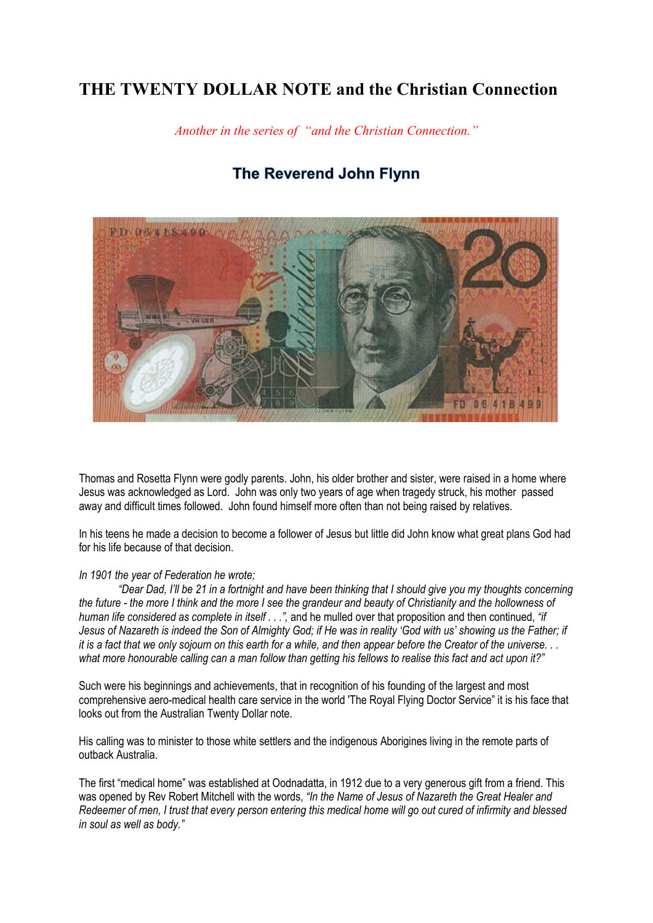## **THE TWENTY DOLLAR NOTE and the Christian Connection**

*Another in the series of "and the Christian Connection."*

## The Reverend John Flynn



Thomas and Rosetta Flynn were godly parents. John, his older brother and sister, were raised in a home where Jesus was acknowledged as Lord. John was only two years of age when tragedy struck, his mother passed away and difficult times followed. John found himself more often than not being raised by relatives.

In his teens he made a decision to become a follower of Jesus but little did John know what great plans God had for his life because of that decision.

## *In 1901 the year of Federation he wrote;*

*"Dear Dad, I'll be 21 in a fortnight and have been thinking that I should give you my thoughts concerning the future - the more I think and the more I see the grandeur and beauty of Christianity and the hollowness of human life considered as complete in itself . . .",* and he mulled over that proposition and then continued, *"if Jesus of Nazareth is indeed the Son of Almighty God; if He was in reality 'God with us' showing us the Father; if it is a fact that we only sojourn on this earth for a while, and then appear before the Creator of the universe. . . what more honourable calling can a man follow than getting his fellows to realise this fact and act upon it?"*

Such were his beginnings and achievements, that in recognition of his founding of the largest and most comprehensive aero-medical health care service in the world 'The Royal Flying Doctor Service" it is his face that looks out from the Australian Twenty Dollar note.

His calling was to minister to those white settlers and the indigenous Aborigines living in the remote parts of outback Australia.

The first "medical home" was established at Oodnadatta, in 1912 due to a very generous gift from a friend. This was opened by Rev Robert Mitchell with the words, *"In the Name of Jesus of Nazareth the Great Healer and Redeemer of men, I trust that every person entering this medical home will go out cured of infirmity and blessed in soul as well as body."*